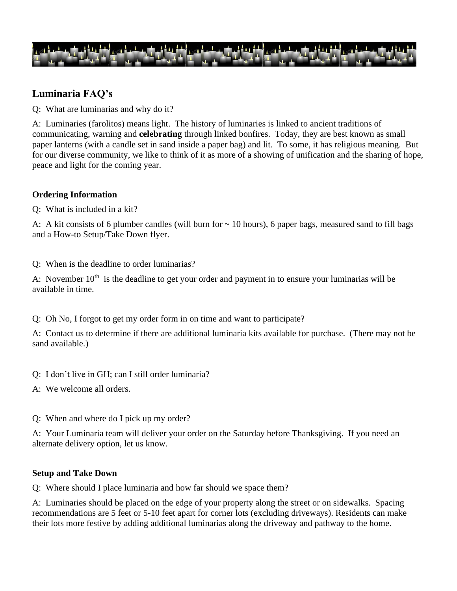

# **Luminaria FAQ's**

Q: What are luminarias and why do it?

A:Luminaries (farolitos) means light. The history of luminaries is linked to ancient traditions of communicating, warning and **celebrating** through linked bonfires. Today, they are best known as small paper lanterns (with a candle set in sand inside a paper bag) and lit. To some, it has religious meaning. But for our diverse community, we like to think of it as more of a showing of unification and the sharing of hope, peace and light for the coming year.

## **Ordering Information**

Q: What is included in a kit?

A: A kit consists of 6 plumber candles (will burn for  $\sim$  10 hours), 6 paper bags, measured sand to fill bags and a How-to Setup/Take Down flyer.

Q: When is the deadline to order luminarias?

A: November  $10<sup>th</sup>$  is the deadline to get your order and payment in to ensure your luminarias will be available in time.

Q: Oh No, I forgot to get my order form in on time and want to participate?

A: Contact us to determine if there are additional luminaria kits available for purchase. (There may not be sand available.)

- Q: I don't live in GH; can I still order luminaria?
- A: We welcome all orders.
- Q: When and where do I pick up my order?

A: Your Luminaria team will deliver your order on the Saturday before Thanksgiving. If you need an alternate delivery option, let us know.

#### **Setup and Take Down**

Q: Where should I place luminaria and how far should we space them?

A: Luminaries should be placed on the edge of your property along the street or on sidewalks. Spacing recommendations are 5 feet or 5-10 feet apart for corner lots (excluding driveways). Residents can make their lots more festive by adding additional luminarias along the driveway and pathway to the home.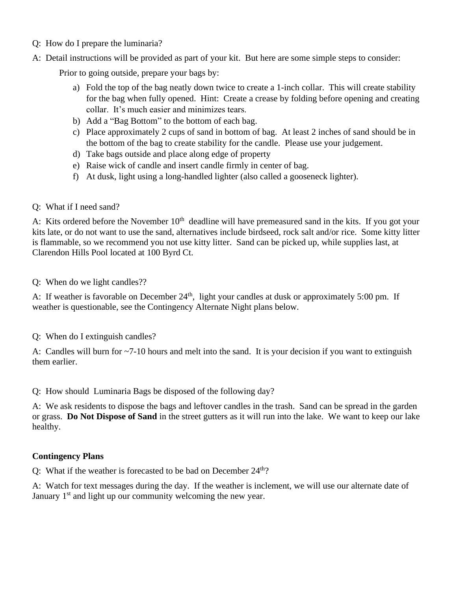- Q: How do I prepare the luminaria?
- A: Detail instructions will be provided as part of your kit. But here are some simple steps to consider:

Prior to going outside, prepare your bags by:

- a) Fold the top of the bag neatly down twice to create a 1-inch collar. This will create stability for the bag when fully opened. Hint: Create a crease by folding before opening and creating collar. It's much easier and minimizes tears.
- b) Add a "Bag Bottom" to the bottom of each bag.
- c) Place approximately 2 cups of sand in bottom of bag. At least 2 inches of sand should be in the bottom of the bag to create stability for the candle. Please use your judgement.
- d) Take bags outside and place along edge of property
- e) Raise wick of candle and insert candle firmly in center of bag.
- f) At dusk, light using a long-handled lighter (also called a gooseneck lighter).

### Q: What if I need sand?

A: Kits ordered before the November  $10<sup>th</sup>$  deadline will have premeasured sand in the kits. If you got your kits late, or do not want to use the sand, alternatives include birdseed, rock salt and/or rice. Some kitty litter is flammable, so we recommend you not use kitty litter. Sand can be picked up, while supplies last, at Clarendon Hills Pool located at 100 Byrd Ct.

Q: When do we light candles??

A: If weather is favorable on December  $24<sup>th</sup>$ , light your candles at dusk or approximately 5:00 pm. If weather is questionable, see the Contingency Alternate Night plans below.

Q: When do I extinguish candles?

A: Candles will burn for ~7-10 hours and melt into the sand. It is your decision if you want to extinguish them earlier.

Q: How should Luminaria Bags be disposed of the following day?

A: We ask residents to dispose the bags and leftover candles in the trash. Sand can be spread in the garden or grass. **Do Not Dispose of Sand** in the street gutters as it will run into the lake. We want to keep our lake healthy.

## **Contingency Plans**

Q: What if the weather is forecasted to be bad on December  $24<sup>th</sup>$ ?

A: Watch for text messages during the day. If the weather is inclement, we will use our alternate date of January  $1<sup>st</sup>$  and light up our community welcoming the new year.